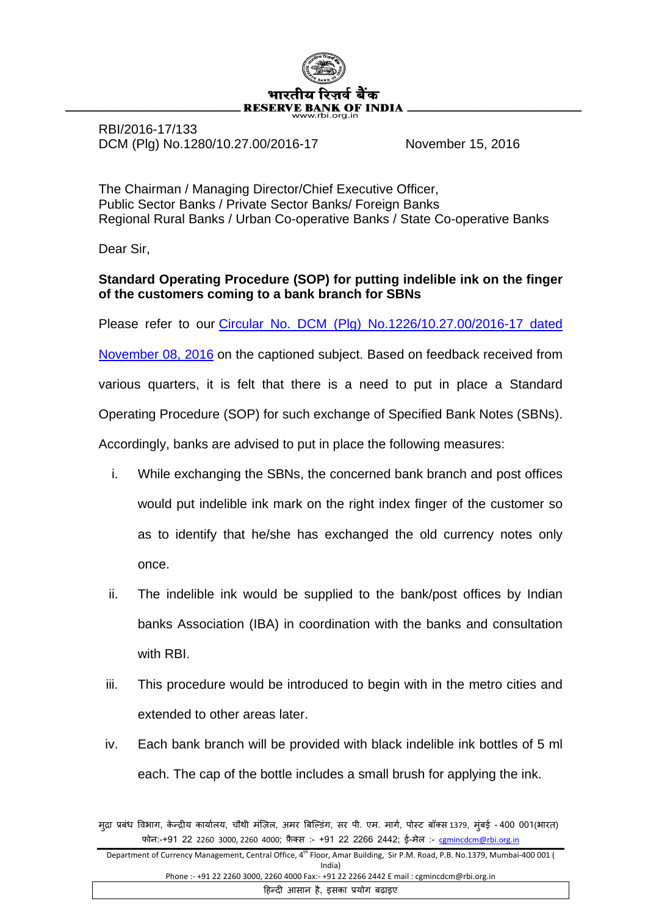

RBI/2016-17/133 DCM (Plg) No.1280/10.27.00/2016-17 November 15, 2016

The Chairman / Managing Director/Chief Executive Officer, Public Sector Banks / Private Sector Banks/ Foreign Banks Regional Rural Banks / Urban Co-operative Banks / State Co-operative Banks

Dear Sir,

## **Standard Operating Procedure (SOP) for putting indelible ink on the finger of the customers coming to a bank branch for SBNs**

Please refer to our [Circular No. DCM \(Plg\) No.1226/10.27.00/2016-17 dated](https://www.rbi.org.in/Scripts/NotificationUser.aspx?Id=10684&Mode=0) 

[November 08, 2016](https://www.rbi.org.in/Scripts/NotificationUser.aspx?Id=10684&Mode=0) on the captioned subject. Based on feedback received from

various quarters, it is felt that there is a need to put in place a Standard

Operating Procedure (SOP) for such exchange of Specified Bank Notes (SBNs).

Accordingly, banks are advised to put in place the following measures:

- i. While exchanging the SBNs, the concerned bank branch and post offices would put indelible ink mark on the right index finger of the customer so as to identify that he/she has exchanged the old currency notes only once.
- ii. The indelible ink would be supplied to the bank/post offices by Indian banks Association (IBA) in coordination with the banks and consultation with RBI.
- iii. This procedure would be introduced to begin with in the metro cities and extended to other areas later.
- iv. Each bank branch will be provided with black indelible ink bottles of 5 ml each. The cap of the bottle includes a small brush for applying the ink.

मुद्रा प्रबंध विभाग, केन्द्रीय कार्यालय, चौथी मज़िल, अमर बिल्डिंग, सर पी. एम. मार्ग, पोस्ट बॉक्स 1379, मुंबई -400 001(भारत) फोन:-+91 22 2260 3000, 2260 4000; फ़ै क्स :- +91 22 2266 2442; ई-मेल :- [cgmincdcm@rbi.org.in](mailto:cgmincdcm@rbi.org.in)